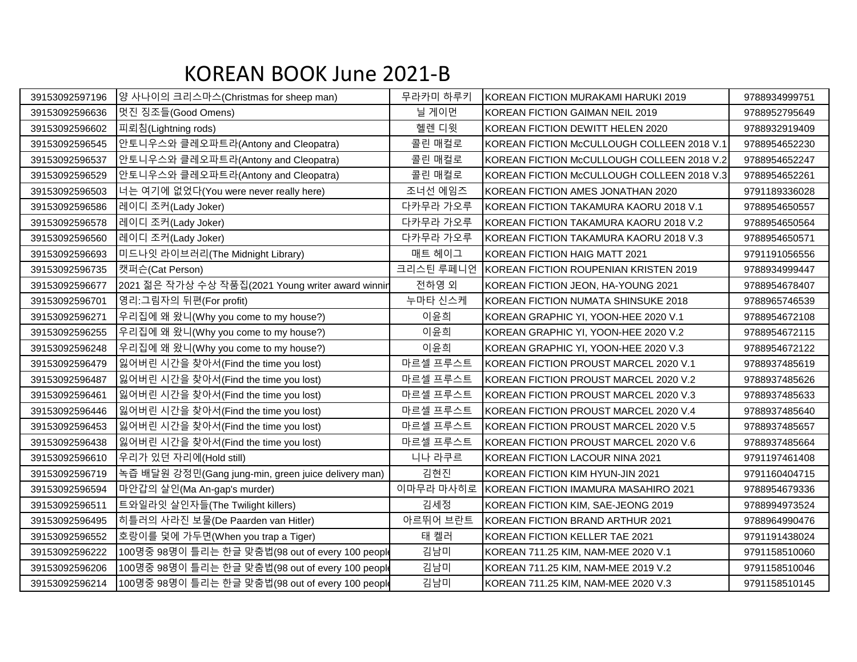## KOREAN BOOK June 2021-B

| 39153092597196 | 양 사나이의 크리스마스(Christmas for sheep man)               | 무라카미 하루키  | KOREAN FICTION MURAKAMI HARUKI 2019        | 9788934999751 |
|----------------|-----------------------------------------------------|-----------|--------------------------------------------|---------------|
| 39153092596636 | 멋진 징조들(Good Omens)                                  | 닐 게이먼     | IKOREAN FICTION GAIMAN NEIL 2019           | 9788952795649 |
| 39153092596602 | 피뢰침(Lightning rods)                                 | 헬렌 디윗     | KOREAN FICTION DEWITT HELEN 2020           | 9788932919409 |
| 39153092596545 | 안토니우스와 클레오파트라(Antony and Cleopatra)                 | 콜린 매컬로    | KOREAN FICTION McCULLOUGH COLLEEN 2018 V.1 | 9788954652230 |
| 39153092596537 | 안토니우스와 클레오파트라(Antony and Cleopatra)                 | 콜린 매컬로    | KOREAN FICTION McCULLOUGH COLLEEN 2018 V.2 | 9788954652247 |
| 39153092596529 | 안토니우스와 클레오파트라(Antony and Cleopatra)                 | 콜린 매컬로    | KOREAN FICTION McCULLOUGH COLLEEN 2018 V.3 | 9788954652261 |
| 39153092596503 | 너는 여기에 없었다(You were never really here)              | 조너선 에임즈   | KOREAN FICTION AMES JONATHAN 2020          | 9791189336028 |
| 39153092596586 | 레이디 조커(Lady Joker)                                  | 다카무라 가오루  | KOREAN FICTION TAKAMURA KAORU 2018 V.1     | 9788954650557 |
| 39153092596578 | 레이디 조커(Lady Joker)                                  | 다카무라 가오루  | KOREAN FICTION TAKAMURA KAORU 2018 V.2     | 9788954650564 |
| 39153092596560 | 레이디 조커(Lady Joker)                                  | 다카무라 가오루  | KOREAN FICTION TAKAMURA KAORU 2018 V.3     | 9788954650571 |
| 39153092596693 | 미드나잇 라이브러리(The Midnight Library)                    | 매트 헤이그    | KOREAN FICTION HAIG MATT 2021              | 9791191056556 |
| 39153092596735 | 캣퍼슨(Cat Person)                                     | 크리스틴 루페니언 | KOREAN FICTION ROUPENIAN KRISTEN 2019      | 9788934999447 |
| 39153092596677 | 2021 젊은 작가상 수상 작품집(2021 Young writer award winnir   | 전하영 외     | KOREAN FICTION JEON, HA-YOUNG 2021         | 9788954678407 |
| 39153092596701 | 영리:그림자의 뒤편(For profit)                              | 누마타 신스케   | KOREAN FICTION NUMATA SHINSUKE 2018        | 9788965746539 |
| 39153092596271 | 우리집에 왜 왔니(Why you come to my house?)                | 이윤희       | KOREAN GRAPHIC YI, YOON-HEE 2020 V.1       | 9788954672108 |
| 39153092596255 | 우리집에 왜 왔니(Why you come to my house?)                | 이윤희       | KOREAN GRAPHIC YI, YOON-HEE 2020 V.2       | 9788954672115 |
| 39153092596248 | 우리집에 왜 왔니(Why you come to my house?)                | 이윤희       | KOREAN GRAPHIC YI, YOON-HEE 2020 V.3       | 9788954672122 |
| 39153092596479 | 잃어버린 시간을 찾아서(Find the time you lost)                | 마르셀 프루스트  | KOREAN FICTION PROUST MARCEL 2020 V.1      | 9788937485619 |
| 39153092596487 | 잃어버린 시간을 찾아서(Find the time you lost)                | 마르셀 프루스트  | KOREAN FICTION PROUST MARCEL 2020 V.2      | 9788937485626 |
| 39153092596461 | 잃어버린 시간을 찾아서(Find the time you lost)                | 마르셀 프루스트  | KOREAN FICTION PROUST MARCEL 2020 V.3      | 9788937485633 |
| 39153092596446 | 잃어버린 시간을 찾아서(Find the time you lost)                | 마르셀 프루스트  | KOREAN FICTION PROUST MARCEL 2020 V.4      | 9788937485640 |
| 39153092596453 | 잃어버린 시간을 찾아서(Find the time you lost)                | 마르셀 프루스트  | KOREAN FICTION PROUST MARCEL 2020 V.5      | 9788937485657 |
| 39153092596438 | 잃어버린 시간을 찾아서(Find the time you lost)                | 마르셀 프루스트  | KOREAN FICTION PROUST MARCEL 2020 V.6      | 9788937485664 |
| 39153092596610 | 우리가 있던 자리에(Hold still)                              | 니나 라쿠르    | KOREAN FICTION LACOUR NINA 2021            | 9791197461408 |
| 39153092596719 | 녹즙 배달원 강정민(Gang jung-min, green juice delivery man) | 김현진       | KOREAN FICTION KIM HYUN-JIN 2021           | 9791160404715 |
| 39153092596594 | 마안갑의 살인(Ma An-gap's murder)                         | 이마무라 마사히로 | KOREAN FICTION IMAMURA MASAHIRO 2021       | 9788954679336 |
| 39153092596511 | 트와일라잇 살인자들(The Twilight killers)                    | 김세정       | KOREAN FICTION KIM, SAE-JEONG 2019         | 9788994973524 |
| 39153092596495 | 히틀러의 사라진 보물(De Paarden van Hitler)                  | 아르뛰어 브란트  | KOREAN FICTION BRAND ARTHUR 2021           | 9788964990476 |
| 39153092596552 | 호랑이를 덫에 가두면(When you trap a Tiger)                  | 태 켈러      | KOREAN FICTION KELLER TAE 2021             | 9791191438024 |
| 39153092596222 | 100명중 98명이 틀리는 한글 맞춤법(98 out of every 100 people    | 김남미       | KOREAN 711.25 KIM, NAM-MEE 2020 V.1        | 9791158510060 |
| 39153092596206 | 100명중 98명이 틀리는 한글 맞춤법(98 out of every 100 people    | 김남미       | KOREAN 711.25 KIM, NAM-MEE 2019 V.2        | 9791158510046 |
| 39153092596214 | 100명중 98명이 틀리는 한글 맞춤법(98 out of every 100 people    | 김남미       | KOREAN 711.25 KIM, NAM-MEE 2020 V.3        | 9791158510145 |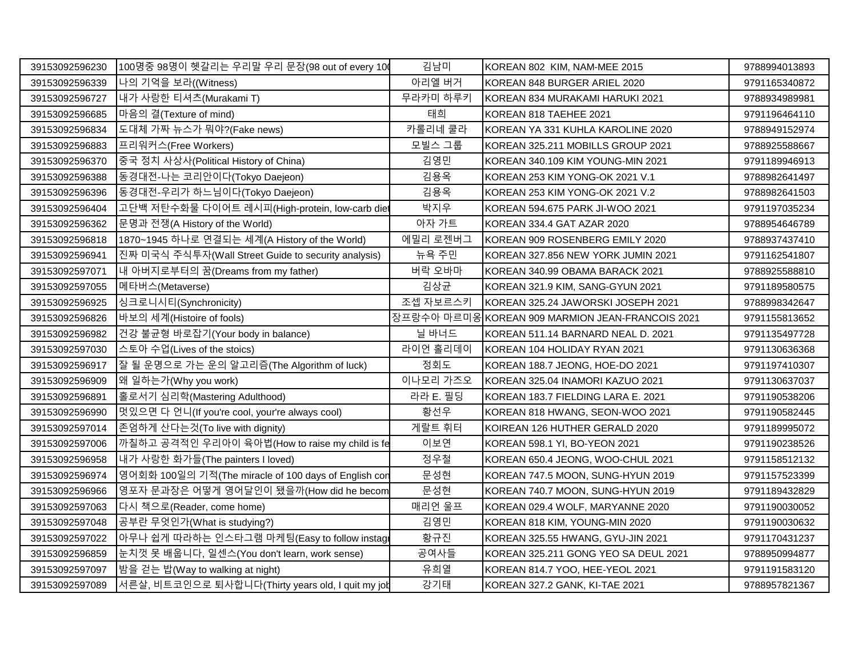| 39153092596230 | 100명중 98명이 헷갈리는 우리말 우리 문장(98 out of every 10         | 김남미      | KOREAN 802 KIM, NAM-MEE 2015                    | 9788994013893 |
|----------------|------------------------------------------------------|----------|-------------------------------------------------|---------------|
| 39153092596339 | 나의 기억을 보라((Witness)                                  | 아리엘 버거   | KOREAN 848 BURGER ARIEL 2020                    | 9791165340872 |
| 39153092596727 | 내가 사랑한 티셔츠(Murakami T)                               | 무라카미 하루키 | KOREAN 834 MURAKAMI HARUKI 2021                 | 9788934989981 |
| 39153092596685 | 마음의 결(Texture of mind)                               | 태희       | KOREAN 818 TAEHEE 2021                          | 9791196464110 |
| 39153092596834 | 도대체 가짜 뉴스가 뭐야?(Fake news)                            | 카롤리네 쿨라  | KOREAN YA 331 KUHLA KAROLINE 2020               | 9788949152974 |
| 39153092596883 | 프리워커스(Free Workers)                                  | 모빌스 그룹   | KOREAN 325.211 MOBILLS GROUP 2021               | 9788925588667 |
| 39153092596370 | 중국 정치 사상사(Political History of China)                | 김영민      | KOREAN 340.109 KIM YOUNG-MIN 2021               | 9791189946913 |
| 39153092596388 | 동경대전-나는 코리안이다(Tokyo Daejeon)                         | 김용옥      | KOREAN 253 KIM YONG-OK 2021 V.1                 | 9788982641497 |
| 39153092596396 | 동경대전-우리가 하느님이다(Tokyo Daejeon)                        | 김용옥      | KOREAN 253 KIM YONG-OK 2021 V.2                 | 9788982641503 |
| 39153092596404 | 고단백 저탄수화물 다이어트 레시피(High-protein, low-carb diet       | 박지우      | KOREAN 594.675 PARK JI-WOO 2021                 | 9791197035234 |
| 39153092596362 | 문명과 전쟁(A History of the World)                       | 아자 가트    | KOREAN 334.4 GAT AZAR 2020                      | 9788954646789 |
| 39153092596818 | 1870~1945 하나로 연결되는 세계(A History of the World)        | 에밀리 로젠버그 | KOREAN 909 ROSENBERG EMILY 2020                 | 9788937437410 |
| 39153092596941 | 진짜 미국식 주식투자(Wall Street Guide to security analysis)  | 뉴욕 주민    | KOREAN 327.856 NEW YORK JUMIN 2021              | 9791162541807 |
| 39153092597071 | 내 아버지로부터의 꿈(Dreams from my father)                   | 버락 오바마   | KOREAN 340.99 OBAMA BARACK 2021                 | 9788925588810 |
| 39153092597055 | 메타버스(Metaverse)                                      | 김상균      | KOREAN 321.9 KIM, SANG-GYUN 2021                | 9791189580575 |
| 39153092596925 | 싱크로니시티(Synchronicity)                                | 조셉 자보르스키 | KOREAN 325.24 JAWORSKI JOSEPH 2021              | 9788998342647 |
| 39153092596826 | 바보의 세계(Histoire of fools)                            |          | 장프랑수아 마르미옹KOREAN 909 MARMION JEAN-FRANCOIS 2021 | 9791155813652 |
| 39153092596982 | 건강 불균형 바로잡기(Your body in balance)                    | 닐 바너드    | KOREAN 511.14 BARNARD NEAL D. 2021              | 9791135497728 |
| 39153092597030 | 스토아 수업(Lives of the stoics)                          | 라이언 홀리데이 | KOREAN 104 HOLIDAY RYAN 2021                    | 9791130636368 |
| 39153092596917 | 잘 될 운명으로 가는 운의 알고리즘(The Algorithm of luck)           | 정회도      | KOREAN 188.7 JEONG, HOE-DO 2021                 | 9791197410307 |
| 39153092596909 | 왜 일하는가(Why you work)                                 | 이나모리 가즈오 | KOREAN 325.04 INAMORI KAZUO 2021                | 9791130637037 |
| 39153092596891 | 홀로서기 심리학(Mastering Adulthood)                        | 라라 E. 필딩 | KOREAN 183.7 FIELDING LARA E. 2021              | 9791190538206 |
| 39153092596990 | 멋있으면 다 언니(If you're cool, your're always cool)       | 황선우      | KOREAN 818 HWANG, SEON-WOO 2021                 | 9791190582445 |
| 39153092597014 | 존엄하게 산다는것(To live with dignity)                      | 게랄트 휘터   | KOIREAN 126 HUTHER GERALD 2020                  | 9791189995072 |
| 39153092597006 | 까칠하고 공격적인 우리아이 육아법(How to raise my child is fe       | 이보연      | KOREAN 598.1 YI, BO-YEON 2021                   | 9791190238526 |
| 39153092596958 | 내가 사랑한 화가들(The painters I loved)                     | 정우철      | KOREAN 650.4 JEONG, WOO-CHUL 2021               | 9791158512132 |
| 39153092596974 | 영어회화 100일의 기적(The miracle of 100 days of English con | 문성현      | KOREAN 747.5 MOON, SUNG-HYUN 2019               | 9791157523399 |
| 39153092596966 | 영포자 문과장은 어떻게 영어달인이 됐을까(How did he becom              | 문성현      | KOREAN 740.7 MOON, SUNG-HYUN 2019               | 9791189432829 |
| 39153092597063 | 다시 책으로(Reader, come home)                            | 매리언 울프   | KOREAN 029.4 WOLF, MARYANNE 2020                | 9791190030052 |
| 39153092597048 | 공부란 무엇인가(What is studying?)                          | 김영민      | KOREAN 818 KIM, YOUNG-MIN 2020                  | 9791190030632 |
| 39153092597022 | 아무나 쉽게 따라하는 인스타그램 마케팅(Easy to follow instagı         | 황규진      | KOREAN 325.55 HWANG, GYU-JIN 2021               | 9791170431237 |
| 39153092596859 | 눈치껏 못 배웁니다, 일센스(You don't learn, work sense)         | 공여사들     | KOREAN 325.211 GONG YEO SA DEUL 2021            | 9788950994877 |
| 39153092597097 | 밤을 걷는 밥(Way to walking at night)                     | 유희열      | KOREAN 814.7 YOO, HEE-YEOL 2021                 | 9791191583120 |
| 39153092597089 | 서른살, 비트코인으로 퇴사합니다(Thirty years old, I quit my job    | 강기태      | KOREAN 327.2 GANK, KI-TAE 2021                  | 9788957821367 |